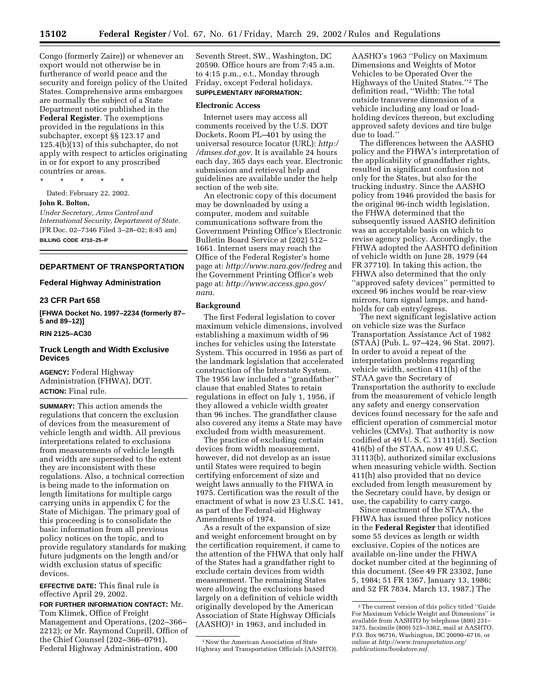Congo (formerly Zaire)) or whenever an export would not otherwise be in furtherance of world peace and the security and foreign policy of the United States. Comprehensive arms embargoes are normally the subject of a State Department notice published in the **Federal Register**. The exemptions provided in the regulations in this subchapter, except §§ 123.17 and  $125.4(b)(13)$  of this subchapter, do not apply with respect to articles originating in or for export to any proscribed countries or areas.

\* \* \* \* \*

Dated: February 22, 2002.

# **John R. Bolton,**

*Under Secretary, Arms Control and International Security, Department of State.* [FR Doc. 02–7346 Filed 3–28–02; 8:45 am] **BILLING CODE 4710–25–P**

# **DEPARTMENT OF TRANSPORTATION**

#### **Federal Highway Administration**

# **23 CFR Part 658**

**[FHWA Docket No. 1997–2234 (formerly 87– 5 and 89–12)]**

# **RIN 2125–AC30**

## **Truck Length and Width Exclusive Devices**

**AGENCY:** Federal Highway Administration (FHWA), DOT. **ACTION:** Final rule.

**SUMMARY:** This action amends the regulations that concern the exclusion of devices from the measurement of vehicle length and width. All previous interpretations related to exclusions from measurements of vehicle length and width are superseded to the extent they are inconsistent with these regulations. Also, a technical correction is being made to the information on length limitations for multiple cargo carrying units in appendix C for the State of Michigan. The primary goal of this proceeding is to consolidate the basic information from all previous policy notices on the topic, and to provide regulatory standards for making future judgments on the length and/or width exclusion status of specific devices.

**EFFECTIVE DATE:** This final rule is effective April 29, 2002.

**FOR FURTHER INFORMATION CONTACT:** Mr. Tom Klimek, Office of Freight Management and Operations, (202–366– 2212); or Mr. Raymond Cuprill, Office of the Chief Counsel (202–366–0791), Federal Highway Administration, 400

Seventh Street, SW., Washington, DC 20590. Office hours are from 7:45 a.m. to 4:15 p.m., e.t., Monday through Friday, except Federal holidays. **SUPPLEMENTARY INFORMATION:**

#### **Electronic Access**

Internet users may access all comments received by the U.S. DOT Dockets, Room PL–401 by using the universal resource locator (URL): *http:/ /dmses.dot.gov.* It is available 24 hours each day, 365 days each year. Electronic submission and retrieval help and guidelines are available under the help section of the web site.

An electronic copy of this document may be downloaded by using a computer, modem and suitable communications software from the Government Printing Office's Electronic Bulletin Board Service at (202) 512– 1661. Internet users may reach the Office of the Federal Register's home page at: *http://www.nara.gov/fedreg* and the Government Printing Office's web page at: *http://www.access.gpo.gov/ nara.*

#### **Background**

The first Federal legislation to cover maximum vehicle dimensions, involved establishing a maximum width of 96 inches for vehicles using the Interstate System. This occurred in 1956 as part of the landmark legislation that accelerated construction of the Interstate System. The 1956 law included a ''grandfather'' clause that enabled States to retain regulations in effect on July 1, 1956, if they allowed a vehicle width greater than 96 inches. The grandfather clause also covered any items a State may have excluded from width measurement.

The practice of excluding certain devices from width measurement, however, did not develop as an issue until States were required to begin certifying enforcement of size and weight laws annually to the FHWA in 1975. Certification was the result of the enactment of what is now 23 U.S.C. 141, as part of the Federal-aid Highway Amendments of 1974.

As a result of the expansion of size and weight enforcement brought on by the certification requirement, it came to the attention of the FHWA that only half of the States had a grandfather right to exclude certain devices from width measurement. The remaining States were allowing the exclusions based largely on a definition of vehicle width originally developed by the American Association of State Highway Officials (AASHO)1 in 1963, and included in

AASHO's 1963 ''Policy on Maximum Dimensions and Weights of Motor Vehicles to be Operated Over the Highways of the United States.''2 The definition read, ''Width: The total outside transverse dimension of a vehicle including any load or loadholding devices thereon, but excluding approved safety devices and tire bulge due to load.''

The differences between the AASHO policy and the FHWA's interpretation of the applicability of grandfather rights, resulted in significant confusion not only for the States, but also for the trucking industry. Since the AASHO policy from 1946 provided the basis for the original 96-inch width legislation, the FHWA determined that the subsequently issued AASHO definition was an acceptable basis on which to revise agency policy. Accordingly, the FHWA adopted the AASHTO definition of vehicle width on June 28, 1979 (44 FR 37710). In taking this action, the FHWA also determined that the only ''approved safety devices'' permitted to exceed 96 inches would be rear-view mirrors, turn signal lamps, and handholds for cab entry/egress.

The next significant legislative action on vehicle size was the Surface Transportation Assistance Act of 1982 (STAA) (Pub. L. 97–424, 96 Stat. 2097). In order to avoid a repeat of the interpretation problems regarding vehicle width, section 411(h) of the STAA gave the Secretary of Transportation the authority to exclude from the measurement of vehicle length any safety and energy conservation devices found necessary for the safe and efficient operation of commercial motor vehicles (CMVs). That authority is now codified at 49 U. S. C. 31111(d). Section 416(b) of the STAA, now 49 U.S.C. 31113(b), authorized similar exclusions when measuring vehicle width. Section 411(h) also provided that no device excluded from length measurement by the Secretary could have, by design or use, the capability to carry cargo.

Since enactment of the STAA, the FHWA has issued three policy notices in the **Federal Register** that identified some 55 devices as length or width exclusive. Copies of the notices are available on-line under the FHWA docket number cited at the beginning of this document. (See 49 FR 23302, June 5, 1984; 51 FR 1367, January 13, 1986; and 52 FR 7834, March 13, 1987.) The

<sup>1</sup>Now the American Association of State Highway and Transportation Officials (AASHTO).

<sup>2</sup>The current version of this policy titled ''Guide For Maximum Vehicle Weight and Dimensions'' is available from AASHTO by telephone (800) 231– 3475, facsimile (800) 525–3362, mail at AASHTO, P.O. Box 96716, Washington, DC 20090–6716, or online at *http://www.transportation.org/ publications/bookstore.nsf.*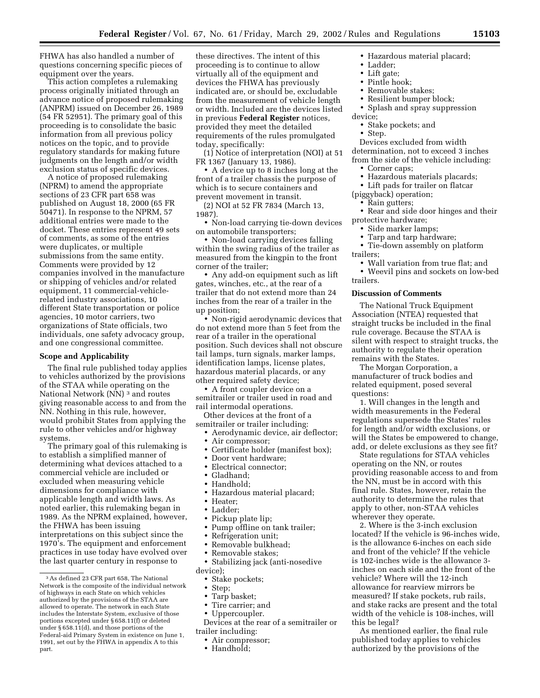FHWA has also handled a number of questions concerning specific pieces of equipment over the years.

This action completes a rulemaking process originally initiated through an advance notice of proposed rulemaking (ANPRM) issued on December 26, 1989 (54 FR 52951). The primary goal of this proceeding is to consolidate the basic information from all previous policy notices on the topic, and to provide regulatory standards for making future judgments on the length and/or width exclusion status of specific devices.

A notice of proposed rulemaking (NPRM) to amend the appropriate sections of 23 CFR part 658 was published on August 18, 2000 (65 FR 50471). In response to the NPRM, 57 additional entries were made to the docket. These entries represent 49 sets of comments, as some of the entries were duplicates, or multiple submissions from the same entity. Comments were provided by 12 companies involved in the manufacture or shipping of vehicles and/or related equipment, 11 commercial-vehiclerelated industry associations, 10 different State transportation or police agencies, 10 motor carriers, two organizations of State officials, two individuals, one safety advocacy group, and one congressional committee.

#### **Scope and Applicability**

The final rule published today applies to vehicles authorized by the provisions of the STAA while operating on the National Network (NN) 3 and routes giving reasonable access to and from the NN. Nothing in this rule, however, would prohibit States from applying the rule to other vehicles and/or highway systems.

The primary goal of this rulemaking is to establish a simplified manner of determining what devices attached to a commercial vehicle are included or excluded when measuring vehicle dimensions for compliance with applicable length and width laws. As noted earlier, this rulemaking began in 1989. As the NPRM explained, however, the FHWA has been issuing interpretations on this subject since the 1970's. The equipment and enforcement practices in use today have evolved over the last quarter century in response to

these directives. The intent of this proceeding is to continue to allow virtually all of the equipment and devices the FHWA has previously indicated are, or should be, excludable from the measurement of vehicle length or width. Included are the devices listed in previous **Federal Register** notices, provided they meet the detailed requirements of the rules promulgated today, specifically:

(1) Notice of interpretation (NOI) at 51 FR 1367 (January 13, 1986).

• A device up to 8 inches long at the front of a trailer chassis the purpose of which is to secure containers and prevent movement in transit.

(2) NOI at 52 FR 7834 (March 13, 1987).

• Non-load carrying tie-down devices on automobile transporters;

• Non-load carrying devices falling within the swing radius of the trailer as measured from the kingpin to the front corner of the trailer;

• Any add-on equipment such as lift gates, winches, etc., at the rear of a trailer that do not extend more than 24 inches from the rear of a trailer in the up position;

• Non-rigid aerodynamic devices that do not extend more than 5 feet from the rear of a trailer in the operational position. Such devices shall not obscure tail lamps, turn signals, marker lamps, identification lamps, license plates, hazardous material placards, or any other required safety device;

• A front coupler device on a semitrailer or trailer used in road and rail intermodal operations.

Other devices at the front of a semitrailer or trailer including:

• Aerodynamic device, air deflector;

- Air compressor;
- Certificate holder (manifest box);
- Door vent hardware;
- Electrical connector;
- Gladhand;
- Handhold;
- Hazardous material placard;
- Heater;
- Ladder;
- Pickup plate lip;
- Pump offline on tank trailer;
- Refrigeration unit;
- Removable bulkhead;
- Removable stakes;
- Stabilizing jack (anti-nosedive device);
	- Stake pockets;
	- Step;
	- Tarp basket;
	- Tire carrier; and
	- Uppercoupler.

Devices at the rear of a semitrailer or trailer including:

- Air compressor;
- Handhold;
- Hazardous material placard;
- Ladder;
- Lift gate;
- Pintle hook; • Removable stakes;
- 
- Resilient bumper block;
- Splash and spray suppression device;
	- Stake pockets; and
	- Step.

Devices excluded from width determination, not to exceed 3 inches from the side of the vehicle including:

- Corner caps;
- Hazardous materials placards;
- Lift pads for trailer on flatcar

(piggyback) operation;

- Rain gutters;
- Rear and side door hinges and their protective hardware;
	- Side marker lamps;
	- Tarp and tarp hardware;

• Tie-down assembly on platform trailers;

- Wall variation from true flat; and
- Weevil pins and sockets on low-bed trailers.

## **Discussion of Comments**

The National Truck Equipment Association (NTEA) requested that straight trucks be included in the final rule coverage. Because the STAA is silent with respect to straight trucks, the authority to regulate their operation remains with the States.

The Morgan Corporation, a manufacturer of truck bodies and related equipment, posed several questions:

1. Will changes in the length and width measurements in the Federal regulations supersede the States' rules for length and/or width exclusions, or will the States be empowered to change, add, or delete exclusions as they see fit?

State regulations for STAA vehicles operating on the NN, or routes providing reasonable access to and from the NN, must be in accord with this final rule. States, however, retain the authority to determine the rules that apply to other, non-STAA vehicles wherever they operate.

2. Where is the 3-inch exclusion located? If the vehicle is 96-inches wide, is the allowance 6-inches on each side and front of the vehicle? If the vehicle is 102-inches wide is the allowance 3 inches on each side and the front of the vehicle? Where will the 12-inch allowance for rearview mirrors be measured? If stake pockets, rub rails, and stake racks are present and the total width of the vehicle is 108-inches, will this be legal?

As mentioned earlier, the final rule published today applies to vehicles authorized by the provisions of the

<sup>3</sup>As defined 23 CFR part 658, The National Network is the composite of the individual network of highways in each State on which vehicles authorized by the provisions of the STAA are allowed to operate. The network in each State includes the Interstate System, exclusive of those portions excepted under § 658.11(f) or deleted under  $\S 658.11(d)$ , and those portions of the Federal-aid Primary System in existence on June 1, 1991, set out by the FHWA in appendix A to this part.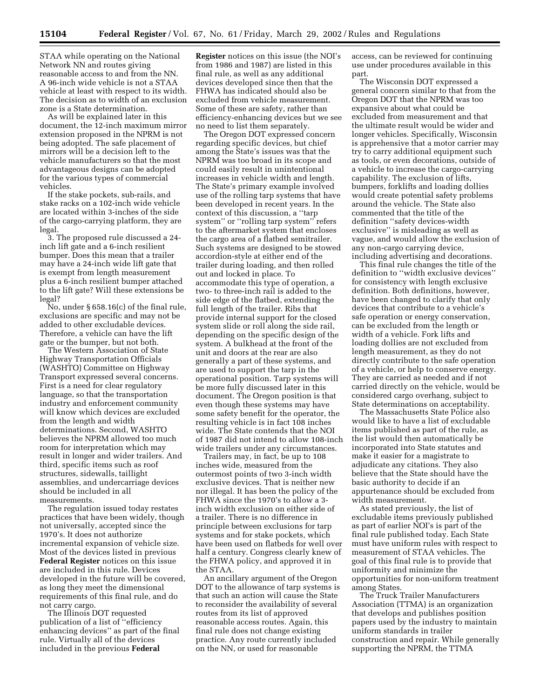STAA while operating on the National Network NN and routes giving reasonable access to and from the NN. A 96-inch wide vehicle is not a STAA vehicle at least with respect to its width. The decision as to width of an exclusion zone is a State determination.

As will be explained later in this document, the 12-inch maximum mirror extension proposed in the NPRM is not being adopted. The safe placement of mirrors will be a decision left to the vehicle manufacturers so that the most advantageous designs can be adopted for the various types of commercial vehicles.

If the stake pockets, sub-rails, and stake racks on a 102-inch wide vehicle are located within 3-inches of the side of the cargo-carrying platform, they are legal.

3. The proposed rule discussed a 24 inch lift gate and a 6-inch resilient bumper. Does this mean that a trailer may have a 24-inch wide lift gate that is exempt from length measurement plus a 6-inch resilient bumper attached to the lift gate? Will these extensions be legal?

No, under § 658.16(c) of the final rule, exclusions are specific and may not be added to other excludable devices. Therefore, a vehicle can have the lift gate or the bumper, but not both.

The Western Association of State Highway Transportation Officials (WASHTO) Committee on Highway Transport expressed several concerns. First is a need for clear regulatory language, so that the transportation industry and enforcement community will know which devices are excluded from the length and width determinations. Second, WASHTO believes the NPRM allowed too much room for interpretation which may result in longer and wider trailers. And third, specific items such as roof structures, sidewalls, taillight assemblies, and undercarriage devices should be included in all measurements.

The regulation issued today restates practices that have been widely, though not universally, accepted since the 1970's. It does not authorize incremental expansion of vehicle size. Most of the devices listed in previous **Federal Register** notices on this issue are included in this rule. Devices developed in the future will be covered, as long they meet the dimensional requirements of this final rule, and do not carry cargo.

The Illinois DOT requested publication of a list of ''efficiency enhancing devices'' as part of the final rule. Virtually all of the devices included in the previous **Federal**

**Register** notices on this issue (the NOI's from 1986 and 1987) are listed in this final rule, as well as any additional devices developed since then that the FHWA has indicated should also be excluded from vehicle measurement. Some of these are safety, rather than efficiency-enhancing devices but we see no need to list them separately.

The Oregon DOT expressed concern regarding specific devices, but chief among the State's issues was that the NPRM was too broad in its scope and could easily result in unintentional increases in vehicle width and length. The State's primary example involved use of the rolling tarp systems that have been developed in recent years. In the context of this discussion, a ''tarp system'' or ''rolling tarp system'' refers to the aftermarket system that encloses the cargo area of a flatbed semitrailer. Such systems are designed to be stowed accordion-style at either end of the trailer during loading, and then rolled out and locked in place. To accommodate this type of operation, a two- to three-inch rail is added to the side edge of the flatbed, extending the full length of the trailer. Ribs that provide internal support for the closed system slide or roll along the side rail, depending on the specific design of the system. A bulkhead at the front of the unit and doors at the rear are also generally a part of these systems, and are used to support the tarp in the operational position. Tarp systems will be more fully discussed later in this document. The Oregon position is that even though these systems may have some safety benefit for the operator, the resulting vehicle is in fact 108 inches wide. The State contends that the NOI of 1987 did not intend to allow 108-inch wide trailers under any circumstances.

Trailers may, in fact, be up to 108 inches wide, measured from the outermost points of two 3-inch width exclusive devices. That is neither new nor illegal. It has been the policy of the FHWA since the 1970's to allow a 3 inch width exclusion on either side of a trailer. There is no difference in principle between exclusions for tarp systems and for stake pockets, which have been used on flatbeds for well over half a century. Congress clearly knew of the FHWA policy, and approved it in the STAA.

An ancillary argument of the Oregon DOT to the allowance of tarp systems is that such an action will cause the State to reconsider the availability of several routes from its list of approved reasonable access routes. Again, this final rule does not change existing practice. Any route currently included on the NN, or used for reasonable

access, can be reviewed for continuing use under procedures available in this part.

The Wisconsin DOT expressed a general concern similar to that from the Oregon DOT that the NPRM was too expansive about what could be excluded from measurement and that the ultimate result would be wider and longer vehicles. Specifically, Wisconsin is apprehensive that a motor carrier may try to carry additional equipment such as tools, or even decorations, outside of a vehicle to increase the cargo-carrying capability. The exclusion of lifts, bumpers, forklifts and loading dollies would create potential safety problems around the vehicle. The State also commented that the title of the definition ''safety devices-width exclusive'' is misleading as well as vague, and would allow the exclusion of any non-cargo carrying device, including advertising and decorations.

This final rule changes the title of the definition to ''width exclusive devices'' for consistency with length exclusive definition. Both definitions, however, have been changed to clarify that only devices that contribute to a vehicle's safe operation or energy conservation, can be excluded from the length or width of a vehicle. Fork lifts and loading dollies are not excluded from length measurement, as they do not directly contribute to the safe operation of a vehicle, or help to conserve energy. They are carried as needed and if not carried directly on the vehicle, would be considered cargo overhang, subject to State determinations on acceptability.

The Massachusetts State Police also would like to have a list of excludable items published as part of the rule, as the list would then automatically be incorporated into State statutes and make it easier for a magistrate to adjudicate any citations. They also believe that the State should have the basic authority to decide if an appurtenance should be excluded from width measurement.

As stated previously, the list of excludable items previously published as part of earlier NOI's is part of the final rule published today. Each State must have uniform rules with respect to measurement of STAA vehicles. The goal of this final rule is to provide that uniformity and minimize the opportunities for non-uniform treatment among States.

The Truck Trailer Manufacturers Association (TTMA) is an organization that develops and publishes position papers used by the industry to maintain uniform standards in trailer construction and repair. While generally supporting the NPRM, the TTMA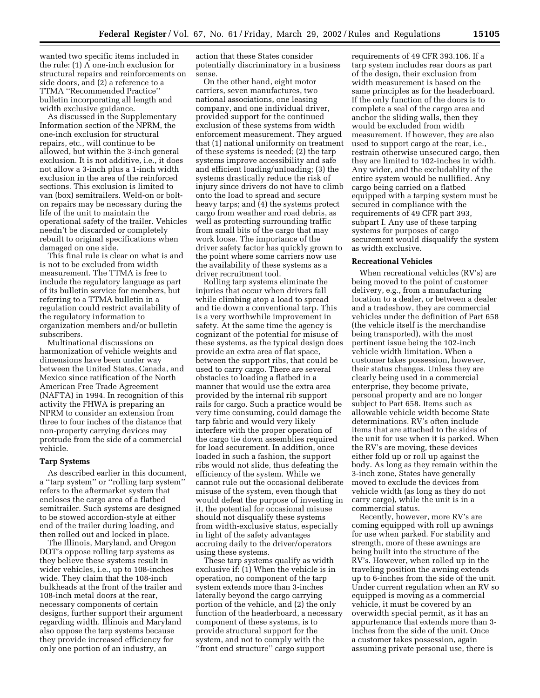wanted two specific items included in the rule: (1) A one-inch exclusion for structural repairs and reinforcements on side doors, and (2) a reference to a TTMA ''Recommended Practice'' bulletin incorporating all length and width exclusive guidance.

As discussed in the Supplementary Information section of the NPRM, the one-inch exclusion for structural repairs, etc., will continue to be allowed, but within the 3-inch general exclusion. It is not additive, i.e., it does not allow a 3-inch plus a 1-inch width exclusion in the area of the reinforced sections. This exclusion is limited to van (box) semitrailers. Weld-on or bolton repairs may be necessary during the life of the unit to maintain the operational safety of the trailer. Vehicles needn't be discarded or completely rebuilt to original specifications when damaged on one side.

This final rule is clear on what is and is not to be excluded from width measurement. The TTMA is free to include the regulatory language as part of its bulletin service for members, but referring to a TTMA bulletin in a regulation could restrict availability of the regulatory information to organization members and/or bulletin subscribers.

Multinational discussions on harmonization of vehicle weights and dimensions have been under way between the United States, Canada, and Mexico since ratification of the North American Free Trade Agreement (NAFTA) in 1994. In recognition of this activity the FHWA is preparing an NPRM to consider an extension from three to four inches of the distance that non-property carrying devices may protrude from the side of a commercial vehicle.

### **Tarp Systems**

As described earlier in this document, a ''tarp system'' or ''rolling tarp system'' refers to the aftermarket system that encloses the cargo area of a flatbed semitrailer. Such systems are designed to be stowed accordion-style at either end of the trailer during loading, and then rolled out and locked in place.

The Illinois, Maryland, and Oregon DOT's oppose rolling tarp systems as they believe these systems result in wider vehicles, i.e., up to 108-inches wide. They claim that the 108-inch bulkheads at the front of the trailer and 108-inch metal doors at the rear, necessary components of certain designs, further support their argument regarding width. Illinois and Maryland also oppose the tarp systems because they provide increased efficiency for only one portion of an industry, an

action that these States consider potentially discriminatory in a business sense.

On the other hand, eight motor carriers, seven manufactures, two national associations, one leasing company, and one individual driver, provided support for the continued exclusion of these systems from width enforcement measurement. They argued that (1) national uniformity on treatment of these systems is needed; (2) the tarp systems improve accessibility and safe and efficient loading/unloading; (3) the systems drastically reduce the risk of injury since drivers do not have to climb onto the load to spread and secure heavy tarps; and (4) the systems protect cargo from weather and road debris, as well as protecting surrounding traffic from small bits of the cargo that may work loose. The importance of the driver safety factor has quickly grown to the point where some carriers now use the availability of these systems as a driver recruitment tool.

Rolling tarp systems eliminate the injuries that occur when drivers fall while climbing atop a load to spread and tie down a conventional tarp. This is a very worthwhile improvement in safety. At the same time the agency is cognizant of the potential for misuse of these systems, as the typical design does provide an extra area of flat space, between the support ribs, that could be used to carry cargo. There are several obstacles to loading a flatbed in a manner that would use the extra area provided by the internal rib support rails for cargo. Such a practice would be very time consuming, could damage the tarp fabric and would very likely interfere with the proper operation of the cargo tie down assemblies required for load securement. In addition, once loaded in such a fashion, the support ribs would not slide, thus defeating the efficiency of the system. While we cannot rule out the occasional deliberate misuse of the system, even though that would defeat the purpose of investing in it, the potential for occasional misuse should not disqualify these systems from width-exclusive status, especially in light of the safety advantages accruing daily to the driver/operators using these systems.

These tarp systems qualify as width exclusive if: (1) When the vehicle is in operation, no component of the tarp system extends more than 3-inches laterally beyond the cargo carrying portion of the vehicle, and (2) the only function of the headerboard, a necessary component of these systems, is to provide structural support for the system, and not to comply with the ''front end structure'' cargo support

requirements of 49 CFR 393.106. If a tarp system includes rear doors as part of the design, their exclusion from width measurement is based on the same principles as for the headerboard. If the only function of the doors is to complete a seal of the cargo area and anchor the sliding walls, then they would be excluded from width measurement. If however, they are also used to support cargo at the rear, i.e., restrain otherwise unsecured cargo, then they are limited to 102-inches in width. Any wider, and the excludablity of the entire system would be nullified. Any cargo being carried on a flatbed equipped with a tarping system must be secured in compliance with the requirements of 49 CFR part 393, subpart I. Any use of these tarping systems for purposes of cargo securement would disqualify the system as width exclusive.

#### **Recreational Vehicles**

When recreational vehicles (RV's) are being moved to the point of customer delivery, e.g., from a manufacturing location to a dealer, or between a dealer and a tradeshow, they are commercial vehicles under the definition of Part 658 (the vehicle itself is the merchandise being transported), with the most pertinent issue being the 102-inch vehicle width limitation. When a customer takes possession, however, their status changes. Unless they are clearly being used in a commercial enterprise, they become private, personal property and are no longer subject to Part 658. Items such as allowable vehicle width become State determinations. RV's often include items that are attached to the sides of the unit for use when it is parked. When the RV's are moving, these devices either fold up or roll up against the body. As long as they remain within the 3-inch zone, States have generally moved to exclude the devices from vehicle width (as long as they do not carry cargo), while the unit is in a commercial status.

Recently, however, more RV's are coming equipped with roll up awnings for use when parked. For stability and strength, more of these awnings are being built into the structure of the RV's. However, when rolled up in the traveling position the awning extends up to 6-inches from the side of the unit. Under current regulation when an RV so equipped is moving as a commercial vehicle, it must be covered by an overwidth special permit, as it has an appurtenance that extends more than 3 inches from the side of the unit. Once a customer takes possession, again assuming private personal use, there is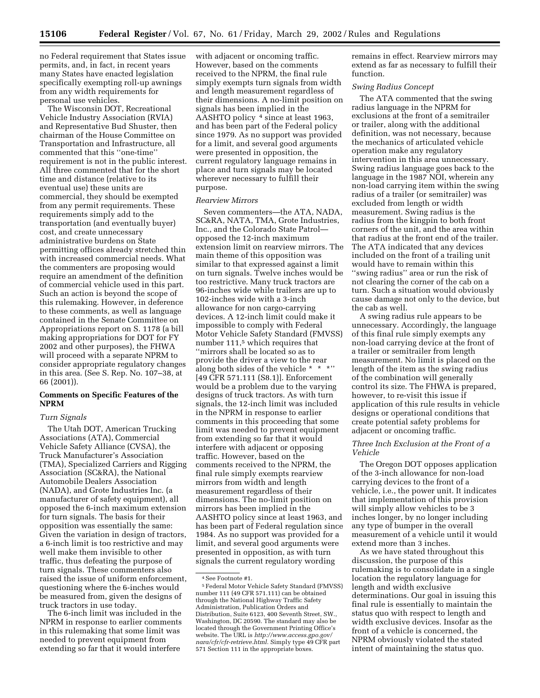no Federal requirement that States issue permits, and, in fact, in recent years many States have enacted legislation specifically exempting roll-up awnings from any width requirements for personal use vehicles.

The Wisconsin DOT, Recreational Vehicle Industry Association (RVIA) and Representative Bud Shuster, then chairman of the House Committee on Transportation and Infrastructure, all commented that this ''one-time'' requirement is not in the public interest. All three commented that for the short time and distance (relative to its eventual use) these units are commercial, they should be exempted from any permit requirements. These requirements simply add to the transportation (and eventually buyer) cost, and create unnecessary administrative burdens on State permitting offices already stretched thin with increased commercial needs. What the commenters are proposing would require an amendment of the definition of commercial vehicle used in this part. Such an action is beyond the scope of this rulemaking. However, in deference to these comments, as well as language contained in the Senate Committee on Appropriations report on S. 1178 (a bill making appropriations for DOT for FY 2002 and other purposes), the FHWA will proceed with a separate NPRM to consider appropriate regulatory changes in this area. (See S. Rep. No. 107–38, at 66 (2001)).

## **Comments on Specific Features of the NPRM**

# *Turn Signals*

The Utah DOT, American Trucking Associations (ATA), Commercial Vehicle Safety Alliance (CVSA), the Truck Manufacturer's Association (TMA), Specialized Carriers and Rigging Association (SC&RA), the National Automobile Dealers Association (NADA), and Grote Industries Inc. (a manufacturer of safety equipment), all opposed the 6-inch maximum extension for turn signals. The basis for their opposition was essentially the same: Given the variation in design of tractors, a 6-inch limit is too restrictive and may well make them invisible to other traffic, thus defeating the purpose of turn signals. These commenters also raised the issue of uniform enforcement, questioning where the 6-inches would be measured from, given the designs of truck tractors in use today.

The 6-inch limit was included in the NPRM in response to earlier comments in this rulemaking that some limit was needed to prevent equipment from extending so far that it would interfere

with adjacent or oncoming traffic. However, based on the comments received to the NPRM, the final rule simply exempts turn signals from width and length measurement regardless of their dimensions. A no-limit position on signals has been implied in the AASHTO policy 4 since at least 1963, and has been part of the Federal policy since 1979. As no support was provided for a limit, and several good arguments were presented in opposition, the current regulatory language remains in place and turn signals may be located wherever necessary to fulfill their purpose.

#### *Rearview Mirrors*

Seven commenters—the ATA, NADA, SC&RA, NATA, TMA, Grote Industries, Inc., and the Colorado State Patrol opposed the 12-inch maximum extension limit on rearview mirrors. The main theme of this opposition was similar to that expressed against a limit on turn signals. Twelve inches would be too restrictive. Many truck tractors are 96-inches wide while trailers are up to 102-inches wide with a 3-inch allowance for non cargo-carrying devices. A 12-inch limit could make it impossible to comply with Federal Motor Vehicle Safety Standard (FMVSS) number 111,5 which requires that ''mirrors shall be located so as to provide the driver a view to the rear along both sides of the vehicle \* \* \*'' [49 CFR 571.111 (S8.1)]. Enforcement would be a problem due to the varying designs of truck tractors. As with turn signals, the 12-inch limit was included in the NPRM in response to earlier comments in this proceeding that some limit was needed to prevent equipment from extending so far that it would interfere with adjacent or opposing traffic. However, based on the comments received to the NPRM, the final rule simply exempts rearview mirrors from width and length measurement regardless of their dimensions. The no-limit position on mirrors has been implied in the AASHTO policy since at least 1963, and has been part of Federal regulation since 1984. As no support was provided for a limit, and several good arguments were presented in opposition, as with turn signals the current regulatory wording

remains in effect. Rearview mirrors may extend as far as necessary to fulfill their function.

### *Swing Radius Concept*

The ATA commented that the swing radius language in the NPRM for exclusions at the front of a semitrailer or trailer, along with the additional definition, was not necessary, because the mechanics of articulated vehicle operation make any regulatory intervention in this area unnecessary. Swing radius language goes back to the language in the 1987 NOI, wherein any non-load carrying item within the swing radius of a trailer (or semitrailer) was excluded from length or width measurement. Swing radius is the radius from the kingpin to both front corners of the unit, and the area within that radius at the front end of the trailer. The ATA indicated that any devices included on the front of a trailing unit would have to remain within this ''swing radius'' area or run the risk of not clearing the corner of the cab on a turn. Such a situation would obviously cause damage not only to the device, but the cab as well.

A swing radius rule appears to be unnecessary. Accordingly, the language of this final rule simply exempts any non-load carrying device at the front of a trailer or semitrailer from length measurement. No limit is placed on the length of the item as the swing radius of the combination will generally control its size. The FHWA is prepared, however, to re-visit this issue if application of this rule results in vehicle designs or operational conditions that create potential safety problems for adjacent or oncoming traffic.

## *Three Inch Exclusion at the Front of a Vehicle*

The Oregon DOT opposes application of the 3-inch allowance for non-load carrying devices to the front of a vehicle, i.e., the power unit. It indicates that implementation of this provision will simply allow vehicles to be 3 inches longer, by no longer including any type of bumper in the overall measurement of a vehicle until it would extend more than 3 inches.

As we have stated throughout this discussion, the purpose of this rulemaking is to consolidate in a single location the regulatory language for length and width exclusive determinations. Our goal in issuing this final rule is essentially to maintain the status quo with respect to length and width exclusive devices. Insofar as the front of a vehicle is concerned, the NPRM obviously violated the stated intent of maintaining the status quo.

<sup>4</sup>See Footnote #1.

<sup>5</sup>Federal Motor Vehicle Safety Standard (FMVSS) number 111 (49 CFR 571.111) can be obtained through the National Highway Traffic Safety Administration, Publication Orders and Distribution, Suite 6123, 400 Seventh Street, SW., Washington, DC 20590. The standard may also be located through the Government Printing Office's website. The URL is *http://www.access.gpo.gov/ nara/cfr/cfr-retrieve.html.* Simply type 49 CFR part 571 Section 111 in the appropriate boxes.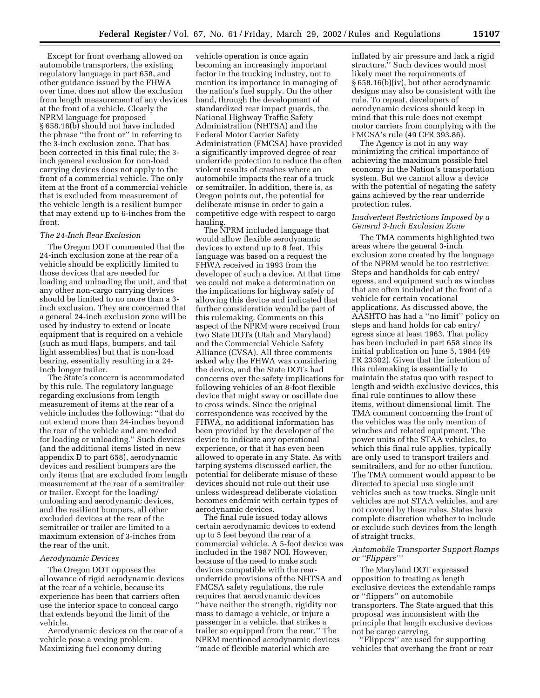Except for front overhang allowed on automobile transporters, the existing regulatory language in part 658, and other guidance issued by the FHWA over time, does not allow the exclusion from length measurement of any devices at the front of a vehicle. Clearly the NPRM language for proposed § 658.16(b) should not have included the phrase ''the front or'' in referring to the 3-inch exclusion zone. That has been corrected in this final rule; the 3 inch general exclusion for non-load carrying devices does not apply to the front of a commercial vehicle. The only item at the front of a commercial vehicle that is excluded from measurement of the vehicle length is a resilient bumper that may extend up to 6-inches from the front.

### *The 24-Inch Rear Exclusion*

The Oregon DOT commented that the 24-inch exclusion zone at the rear of a vehicle should be explicitly limited to those devices that are needed for loading and unloading the unit, and that any other non-cargo carrying devices should be limited to no more than a 3 inch exclusion. They are concerned that a general 24-inch exclusion zone will be used by industry to extend or locate equipment that is required on a vehicle (such as mud flaps, bumpers, and tail light assemblies) but that is non-load bearing, essentially resulting in a 24 inch longer trailer.

The State's concern is accommodated by this rule. The regulatory language regarding exclusions from length measurement of items at the rear of a vehicle includes the following: ''that do not extend more than 24-inches beyond the rear of the vehicle and are needed for loading or unloading.'' Such devices (and the additional items listed in new appendix D to part 658), aerodynamic devices and resilient bumpers are the only items that are excluded from length measurement at the rear of a semitrailer or trailer. Except for the loading/ unloading and aerodynamic devices, and the resilient bumpers, all other excluded devices at the rear of the semitrailer or trailer are limited to a maximum extension of 3-inches from the rear of the unit.

# *Aerodynamic Devices*

The Oregon DOT opposes the allowance of rigid aerodynamic devices at the rear of a vehicle, because its experience has been that carriers often use the interior space to conceal cargo that extends beyond the limit of the vehicle.

Aerodynamic devices on the rear of a vehicle pose a vexing problem. Maximizing fuel economy during

vehicle operation is once again becoming an increasingly important factor in the trucking industry, not to mention its importance in managing of the nation's fuel supply. On the other hand, through the development of standardized rear impact guards, the National Highway Traffic Safety Administration (NHTSA) and the Federal Motor Carrier Safety Administration (FMCSA) have provided a significantly improved degree of rear underride protection to reduce the often violent results of crashes where an automobile impacts the rear of a truck or semitrailer. In addition, there is, as Oregon points out, the potential for deliberate misuse in order to gain a competitive edge with respect to cargo hauling.

The NPRM included language that would allow flexible aerodynamic devices to extend up to 8 feet. This language was based on a request the FHWA received in 1993 from the developer of such a device. At that time we could not make a determination on the implications for highway safety of allowing this device and indicated that further consideration would be part of this rulemaking. Comments on this aspect of the NPRM were received from two State DOTs (Utah and Maryland) and the Commercial Vehicle Safety Alliance (CVSA). All three comments asked why the FHWA was considering the device, and the State DOTs had concerns over the safety implications for following vehicles of an 8-foot flexible device that might sway or oscillate due to cross winds. Since the original correspondence was received by the FHWA, no additional information has been provided by the developer of the device to indicate any operational experience, or that it has even been allowed to operate in any State. As with tarping systems discussed earlier, the potential for deliberate misuse of these devices should not rule out their use unless widespread deliberate violation becomes endemic with certain types of aerodynamic devices.

The final rule issued today allows certain aerodynamic devices to extend up to 5 feet beyond the rear of a commercial vehicle. A 5-foot device was included in the 1987 NOI. However, because of the need to make such devices compatible with the rearunderride provisions of the NHTSA and FMCSA safety regulations, the rule requires that aerodynamic devices ''have neither the strength, rigidity nor mass to damage a vehicle, or injure a passenger in a vehicle, that strikes a trailer so equipped from the rear.'' The NPRM mentioned aerodynamic devices ''made of flexible material which are

inflated by air pressure and lack a rigid structure.'' Such devices would most likely meet the requirements of § 658.16(b)(iv), but other aerodynamic designs may also be consistent with the rule. To repeat, developers of aerodynamic devices should keep in mind that this rule does not exempt motor carriers from complying with the FMCSA's rule (49 CFR 393.86).

The Agency is not in any way minimizing the critical importance of achieving the maximum possible fuel economy in the Nation's transportation system. But we cannot allow a device with the potential of negating the safety gains achieved by the rear underride protection rules.

## *Inadvertent Restrictions Imposed by a General 3-Inch Exclusion Zone*

The TMA comments highlighted two areas where the general 3-inch exclusion zone created by the language of the NPRM would be too restrictive: Steps and handholds for cab entry/ egress, and equipment such as winches that are often included at the front of a vehicle for certain vocational applications. As discussed above, the AASHTO has had a ''no limit'' policy on steps and hand holds for cab entry/ egress since at least 1963. That policy has been included in part 658 since its initial publication on June 5, 1984 (49 FR 23302). Given that the intention of this rulemaking is essentially to maintain the status quo with respect to length and width exclusive devices, this final rule continues to allow these items, without dimensional limit. The TMA comment concerning the front of the vehicles was the only mention of winches and related equipment. The power units of the STAA vehicles, to which this final rule applies, typically are only used to transport trailers and semitrailers, and for no other function. The TMA comment would appear to be directed to special use single unit vehicles such as tow trucks. Single unit vehicles are not STAA vehicles, and are not covered by these rules. States have complete discretion whether to include or exclude such devices from the length of straight trucks.

## *Automobile Transporter Support Ramps or ''Flippers'''*

The Maryland DOT expressed opposition to treating as length exclusive devices the extendable ramps or ''flippers'' on automobile transporters. The State argued that this proposal was inconsistent with the principle that length exclusive devices not be cargo carrying.

''Flippers'' are used for supporting vehicles that overhang the front or rear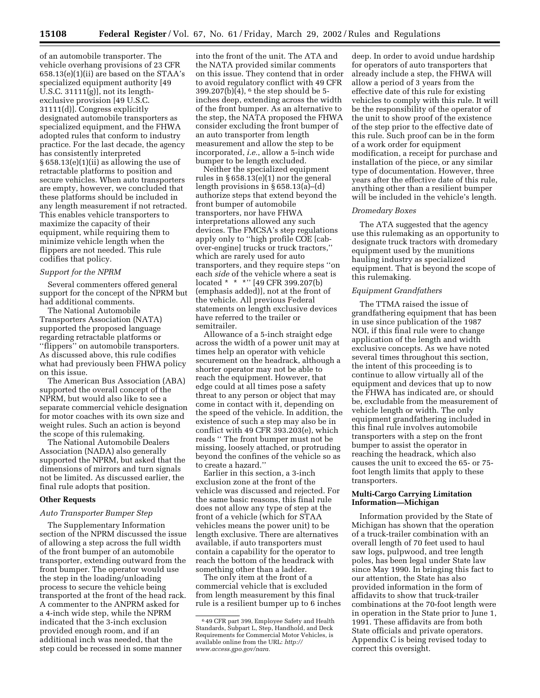of an automobile transporter. The vehicle overhang provisions of 23 CFR 658.13(e)(1)(ii) are based on the STAA's specialized equipment authority [49 U.S.C. 31111(g)], not its lengthexclusive provision [49 U.S.C. 31111(d)]. Congress explicitly designated automobile transporters as specialized equipment, and the FHWA adopted rules that conform to industry practice. For the last decade, the agency has consistently interpreted § 658.13(e)(1)(ii) as allowing the use of retractable platforms to position and secure vehicles. When auto transporters are empty, however, we concluded that these platforms should be included in any length measurement if not retracted. This enables vehicle transporters to maximize the capacity of their equipment, while requiring them to minimize vehicle length when the flippers are not needed. This rule codifies that policy.

# *Support for the NPRM*

Several commenters offered general support for the concept of the NPRM but had additional comments.

The National Automobile Transporters Association (NATA) supported the proposed language regarding retractable platforms or ''flippers'' on automobile transporters. As discussed above, this rule codifies what had previously been FHWA policy on this issue.

The American Bus Association (ABA) supported the overall concept of the NPRM, but would also like to see a separate commercial vehicle designation for motor coaches with its own size and weight rules. Such an action is beyond the scope of this rulemaking.

The National Automobile Dealers Association (NADA) also generally supported the NPRM, but asked that the dimensions of mirrors and turn signals not be limited. As discussed earlier, the final rule adopts that position.

#### **Other Requests**

#### *Auto Transporter Bumper Step*

The Supplementary Information section of the NPRM discussed the issue of allowing a step across the full width of the front bumper of an automobile transporter, extending outward from the front bumper. The operator would use the step in the loading/unloading process to secure the vehicle being transported at the front of the head rack. A commenter to the ANPRM asked for a 4-inch wide step, while the NPRM indicated that the 3-inch exclusion provided enough room, and if an additional inch was needed, that the step could be recessed in some manner

into the front of the unit. The ATA and the NATA provided similar comments on this issue. They contend that in order to avoid regulatory conflict with 49 CFR  $399.207(b)(4)$ , <sup>6</sup> the step should be 5inches deep, extending across the width of the front bumper. As an alternative to the step, the NATA proposed the FHWA consider excluding the front bumper of an auto transporter from length measurement and allow the step to be incorporated, *i.e.*, allow a 5-inch wide bumper to be length excluded.

Neither the specialized equipment rules in § 658.13(e)(1) nor the general length provisions in § 658.13(a)–(d) authorize steps that extend beyond the front bumper of automobile transporters, nor have FHWA interpretations allowed any such devices. The FMCSA's step regulations apply only to ''high profile COE [cabover-engine] trucks or truck tractors,'' which are rarely used for auto transporters, and they require steps ''on each *side* of the vehicle where a seat is located \* \* \*'' [49 CFR 399.207(b) (emphasis added)], not at the front of the vehicle. All previous Federal statements on length exclusive devices have referred to the trailer or semitrailer.

Allowance of a 5-inch straight edge across the width of a power unit may at times help an operator with vehicle securement on the headrack, although a shorter operator may not be able to reach the equipment. However, that edge could at all times pose a safety threat to any person or object that may come in contact with it, depending on the speed of the vehicle. In addition, the existence of such a step may also be in conflict with 49 CFR 393.203(e), which reads '' The front bumper must not be missing, loosely attached, or protruding beyond the confines of the vehicle so as to create a hazard.''

Earlier in this section, a 3-inch exclusion zone at the front of the vehicle was discussed and rejected. For the same basic reasons, this final rule does not allow any type of step at the front of a vehicle (which for STAA vehicles means the power unit) to be length exclusive. There are alternatives available, if auto transporters must contain a capability for the operator to reach the bottom of the headrack with something other than a ladder.

The only item at the front of a commercial vehicle that is excluded from length measurement by this final rule is a resilient bumper up to 6 inches

deep. In order to avoid undue hardship for operators of auto transporters that already include a step, the FHWA will allow a period of 3 years from the effective date of this rule for existing vehicles to comply with this rule. It will be the responsibility of the operator of the unit to show proof of the existence of the step prior to the effective date of this rule. Such proof can be in the form of a work order for equipment modification, a receipt for purchase and installation of the piece, or any similar type of documentation. However, three years after the effective date of this rule, anything other than a resilient bumper will be included in the vehicle's length.

#### *Dromedary Boxes*

The ATA suggested that the agency use this rulemaking as an opportunity to designate truck tractors with dromedary equipment used by the munitions hauling industry as specialized equipment. That is beyond the scope of this rulemaking.

# *Equipment Grandfathers*

The TTMA raised the issue of grandfathering equipment that has been in use since publication of the 1987 NOI, if this final rule were to change application of the length and width exclusive concepts. As we have noted several times throughout this section, the intent of this proceeding is to continue to allow virtually all of the equipment and devices that up to now the FHWA has indicated are, or should be, excludable from the measurement of vehicle length or width. The only equipment grandfathering included in this final rule involves automobile transporters with a step on the front bumper to assist the operator in reaching the headrack, which also causes the unit to exceed the 65- or 75 foot length limits that apply to these transporters.

# **Multi-Cargo Carrying Limitation Information—Michigan**

Information provided by the State of Michigan has shown that the operation of a truck-trailer combination with an overall length of 70 feet used to haul saw logs, pulpwood, and tree length poles, has been legal under State law since May 1990. In bringing this fact to our attention, the State has also provided information in the form of affidavits to show that truck-trailer combinations at the 70-foot length were in operation in the State prior to June 1, 1991. These affidavits are from both State officials and private operators. Appendix C is being revised today to correct this oversight.

<sup>6</sup> 49 CFR part 399, Employee Safety and Health Standards, Subpart L, Step, Handhold, and Deck Requirements for Commercial Motor Vehicles, is available online from the URL: *http:// www.access.gpo.gov/nara.*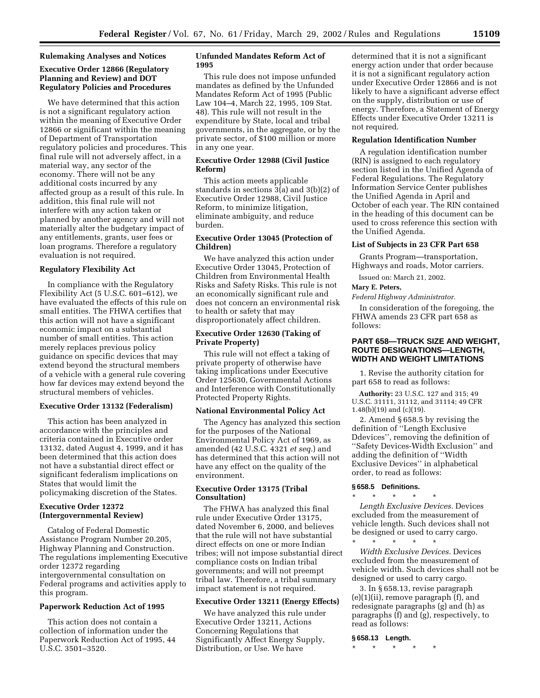### **Rulemaking Analyses and Notices**

# **Executive Order 12866 (Regulatory Planning and Review) and DOT Regulatory Policies and Procedures**

We have determined that this action is not a significant regulatory action within the meaning of Executive Order 12866 or significant within the meaning of Department of Transportation regulatory policies and procedures. This final rule will not adversely affect, in a material way, any sector of the economy. There will not be any additional costs incurred by any affected group as a result of this rule. In addition, this final rule will not interfere with any action taken or planned by another agency and will not materially alter the budgetary impact of any entitlements, grants, user fees or loan programs. Therefore a regulatory evaluation is not required.

#### **Regulatory Flexibility Act**

In compliance with the Regulatory Flexibility Act (5 U.S.C. 601–612), we have evaluated the effects of this rule on small entities. The FHWA certifies that this action will not have a significant economic impact on a substantial number of small entities. This action merely replaces previous policy guidance on specific devices that may extend beyond the structural members of a vehicle with a general rule covering how far devices may extend beyond the structural members of vehicles.

### **Executive Order 13132 (Federalism)**

This action has been analyzed in accordance with the principles and criteria contained in Executive order 13132, dated August 4, 1999, and it has been determined that this action does not have a substantial direct effect or significant federalism implications on States that would limit the policymaking discretion of the States.

### **Executive Order 12372 (Intergovernmental Review)**

Catalog of Federal Domestic Assistance Program Number 20.205, Highway Planning and Construction. The regulations implementing Executive order 12372 regarding intergovernmental consultation on Federal programs and activities apply to this program.

### **Paperwork Reduction Act of 1995**

This action does not contain a collection of information under the Paperwork Reduction Act of 1995, 44 U.S.C. 3501–3520.

# **Unfunded Mandates Reform Act of 1995**

This rule does not impose unfunded mandates as defined by the Unfunded Mandates Reform Act of 1995 (Public Law 104–4, March 22, 1995, 109 Stat. 48). This rule will not result in the expenditure by State, local and tribal governments, in the aggregate, or by the private sector, of \$100 million or more in any one year.

## **Executive Order 12988 (Civil Justice Reform)**

This action meets applicable standards in sections 3(a) and 3(b)(2) of Executive Order 12988, Civil Justice Reform, to minimize litigation, eliminate ambiguity, and reduce burden.

# **Executive Order 13045 (Protection of Children)**

We have analyzed this action under Executive Order 13045, Protection of Children from Environmental Health Risks and Safety Risks. This rule is not an economically significant rule and does not concern an environmental risk to health or safety that may disproportionately affect children.

# **Executive Order 12630 (Taking of Private Property)**

This rule will not effect a taking of private property of otherwise have taking implications under Executive Order 125630, Governmental Actions and Interference with Constitutionally Protected Property Rights.

### **National Environmental Policy Act**

The Agency has analyzed this section for the purposes of the National Environmental Policy Act of 1969, as amended (42 U.S.C. 4321 *et seq.*) and has determined that this action will not have any effect on the quality of the environment.

# **Executive Order 13175 (Tribal Consultation)**

The FHWA has analyzed this final rule under Executive Order 13175, dated November 6, 2000, and believes that the rule will not have substantial direct effects on one or more Indian tribes; will not impose substantial direct compliance costs on Indian tribal governments; and will not preempt tribal law. Therefore, a tribal summary impact statement is not required.

#### **Executive Order 13211 (Energy Effects)**

We have analyzed this rule under Executive Order 13211, Actions Concerning Regulations that Significantly Affect Energy Supply, Distribution, or Use. We have

determined that it is not a significant energy action under that order because it is not a significant regulatory action under Executive Order 12866 and is not likely to have a significant adverse effect on the supply, distribution or use of energy. Therefore, a Statement of Energy Effects under Executive Order 13211 is not required.

## **Regulation Identification Number**

A regulation identification number (RIN) is assigned to each regulatory section listed in the Unified Agenda of Federal Regulations. The Regulatory Information Service Center publishes the Unified Agenda in April and October of each year. The RIN contained in the heading of this document can be used to cross reference this section with the Unified Agenda.

### **List of Subjects in 23 CFR Part 658**

Grants Program—transportation, Highways and roads, Motor carriers.

Issued on: March 21, 2002.

# **Mary E. Peters,**

*Federal Highway Administrator.*

In consideration of the foregoing, the FHWA amends 23 CFR part 658 as follows:

# **PART 658—TRUCK SIZE AND WEIGHT, ROUTE DESIGNATIONS—LENGTH, WIDTH AND WEIGHT LIMITATIONS**

1. Revise the authority citation for part 658 to read as follows:

**Authority:** 23 U.S.C. 127 and 315; 49 U.S.C. 31111, 31112, and 31114; 49 CFR 1.48(b)(19) and (c)(19).

2. Amend § 658.5 by revising the definition of ''Length Exclusive Ddevices'', removing the definition of ''Safety Devices-Width Exclusion'' and adding the definition of ''Width Exclusive Devices'' in alphabetical order, to read as follows:

# **§ 658.5 Definitions.**

\* \* \* \* \* *Length Exclusive Devices.* Devices excluded from the measurement of vehicle length. Such devices shall not be designed or used to carry cargo.

\* \* \* \* \* *Width Exclusive Devices.* Devices excluded from the measurement of vehicle width. Such devices shall not be designed or used to carry cargo.

3. In § 658.13, revise paragraph (e)(1)(ii), remove paragraph (f), and redesignate paragraphs (g) and (h) as paragraphs (f) and (g), respectively, to read as follows:

# **§ 658.13 Length.**

\* \* \* \* \*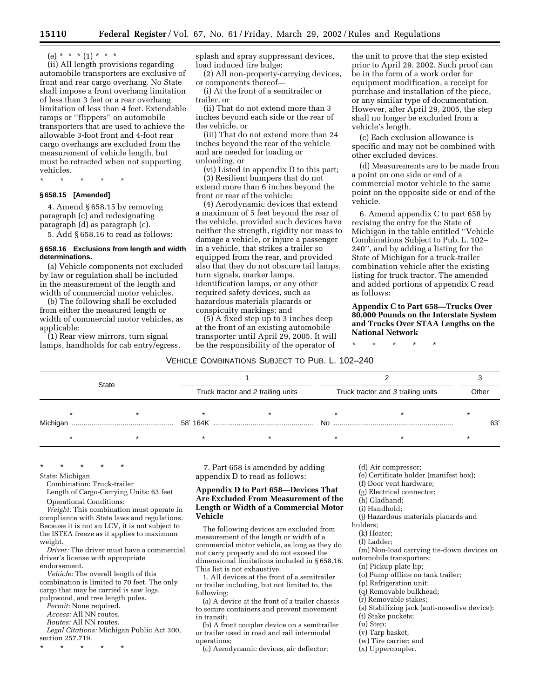$(e) * * * (1) * * * *$ 

(ii) All length provisions regarding automobile transporters are exclusive of front and rear cargo overhang. No State shall impose a front overhang limitation of less than 3 feet or a rear overhang limitation of less than 4 feet. Extendable ramps or ''flippers'' on automobile transporters that are used to achieve the allowable 3-foot front and 4-foot rear cargo overhangs are excluded from the measurement of vehicle length, but must be retracted when not supporting vehicles.

\* \* \* \* \*

### **§ 658.15 [Amended]**

4. Amend § 658.15 by removing paragraph (c) and redesignating paragraph (d) as paragraph (c).

5. Add § 658.16 to read as follows:

### **§ 658.16 Exclusions from length and width determinations.**

(a) Vehicle components not excluded by law or regulation shall be included in the measurement of the length and width of commercial motor vehicles.

(b) The following shall be excluded from either the measured length or width of commercial motor vehicles, as applicable:

(1) Rear view mirrors, turn signal lamps, handholds for cab entry/egress, splash and spray suppressant devices, load induced tire bulge;

(2) All non-property-carrying devices, or components thereof—

(i) At the front of a semitrailer or trailer, or

(ii) That do not extend more than 3 inches beyond each side or the rear of the vehicle, or

(iii) That do not extend more than 24 inches beyond the rear of the vehicle and are needed for loading or unloading, or

(vi) Listed in appendix D to this part; (3) Resilient bumpers that do not extend more than 6 inches beyond the front or rear of the vehicle;

(4) Aerodynamic devices that extend a maximum of 5 feet beyond the rear of the vehicle, provided such devices have neither the strength, rigidity nor mass to damage a vehicle, or injure a passenger in a vehicle, that strikes a trailer so equipped from the rear, and provided also that they do not obscure tail lamps, turn signals, marker lamps, identification lamps, or any other required safety devices, such as hazardous materials placards or conspicuity markings; and

(5) A fixed step up to 3 inches deep at the front of an existing automobile transporter until April 29, 2005. It will be the responsibility of the operator of

the unit to prove that the step existed prior to April 29, 2002. Such proof can be in the form of a work order for equipment modification, a receipt for purchase and installation of the piece, or any similar type of documentation. However, after April 29, 2005, the step shall no longer be excluded from a vehicle's length.

(c) Each exclusion allowance is specific and may not be combined with other excluded devices.

(d) Measurements are to be made from a point on one side or end of a commercial motor vehicle to the same point on the opposite side or end of the vehicle.

6. Amend appendix C to part 658 by revising the entry for the State of Michigan in the table entitled ''Vehicle Combinations Subject to Pub. L. 102– 240'', and by adding a listing for the State of Michigan for a truck-trailer combination vehicle after the existing listing for truck tractor. The amended and added portions of appendix C read as follows:

**Appendix C to Part 658—Trucks Over 80,000 Pounds on the Interstate System and Trucks Over STAA Lengths on the National Network**

\* \* \* \* \*

## VEHICLE COMBINATIONS SUBJECT TO PUB. L. 102–240

| <b>State</b> |  |  | Truck tractor and 2 trailing units |  | Truck tractor and 3 trailing units |  |  | Other |     |
|--------------|--|--|------------------------------------|--|------------------------------------|--|--|-------|-----|
|              |  |  |                                    |  |                                    |  |  |       |     |
| Michigan     |  |  |                                    |  | No.                                |  |  |       | 63' |
|              |  |  |                                    |  |                                    |  |  |       |     |

\* \* \* \* \*

State: Michigan

Combination: Truck-trailer

Length of Cargo-Carrying Units: 63 feet

Operational Conditions:

*Weight:* This combination must operate in compliance with State laws and regulations. Because it is not an LCV, it is not subject to the ISTEA freeze as it applies to maximum weight.

*Driver:* The driver must have a commercial driver's license with appropriate endorsement.

*Vehicle:* The overall length of this combination is limited to 70 feet. The only cargo that may be carried is saw logs, pulpwood, and tree length poles.

*Permit:* None required.

*Access:* All NN routes.

*Routes:* All NN routes.

*Legal Citations:* Michigan Public Act 300, section 257.719.

\* \* \* \* \*

7. Part 658 is amended by adding appendix D to read as follows:

# **Appendix D to Part 658—Devices That Are Excluded From Measurement of the Length or Width of a Commercial Motor Vehicle**

The following devices are excluded from measurement of the length or width of a commercial motor vehicle, as long as they do not carry property and do not exceed the dimensional limitations included in § 658.16. This list is not exhaustive.

1. All devices at the front of a semitrailer or trailer including, but not limited to, the following:

(a) A device at the front of a trailer chassis to secure containers and prevent movement in transit;

(b) A front coupler device on a semitrailer or trailer used in road and rail intermodal operations;

(c) Aerodynamic devices, air deflector;

(d) Air compressor;

(e) Certificate holder (manifest box);

(f) Door vent hardware;

(g) Electrical connector;

- (h) Gladhand;
- (i) Handhold;

(j) Hazardous materials placards and

(k) Heater; (l) Ladder;

(m) Non-load carrying tie-down devices on automobile transporters;

(n) Pickup plate lip;

(o) Pump offline on tank trailer;

(p) Refrigeration unit;

(q) Removable bulkhead;

- (r) Removable stakes;
- (s) Stabilizing jack (anti-nosedive device);
- (t) Stake pockets;
- (u) Step;
- (v) Tarp basket;
- (w) Tire carrier; and
- (x) Uppercoupler.

holders;